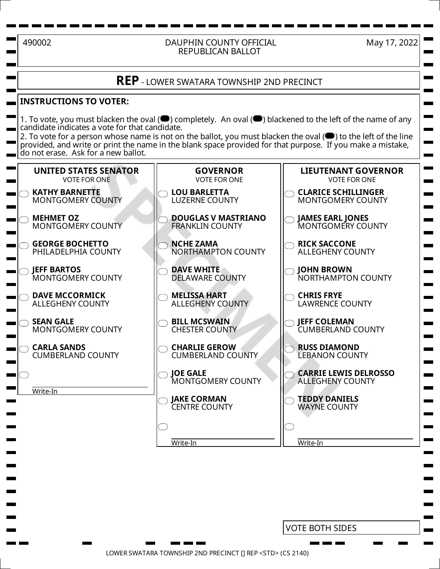## 490002 DAUPHIN COUNTY OFFICIAL REPUBLICAN BALLOT

May 17, 2022

## **REP** - LOWER SWATARA TOWNSHIP 2ND PRECINCT

## **INSTRUCTIONS TO VOTER:**

1. To vote, you must blacken the oval (**O**) completely. An oval (O) blackened to the left of the name of any candidate indicates a vote for that candidate.

2. To vote for a person whose name is not on the ballot, you must blacken the oval  $($ **)** to the left of the line provided, and write or print the name in the blank space provided for that purpose. If you make a mistake, do not erase. Ask for a new ballot.



VOTE BOTH SIDES